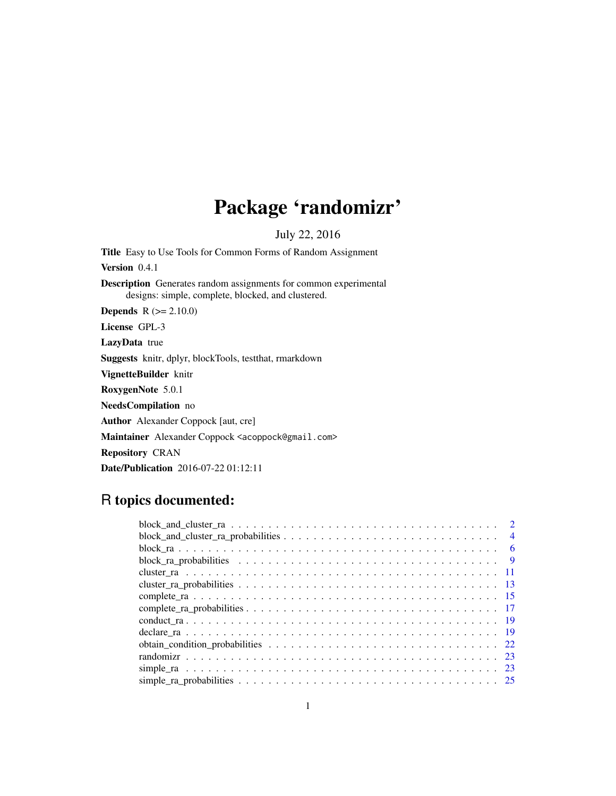## Package 'randomizr'

July 22, 2016

Title Easy to Use Tools for Common Forms of Random Assignment Version 0.4.1 Description Generates random assignments for common experimental designs: simple, complete, blocked, and clustered. **Depends**  $R (= 2.10.0)$ License GPL-3 LazyData true Suggests knitr, dplyr, blockTools, testthat, rmarkdown VignetteBuilder knitr RoxygenNote 5.0.1 NeedsCompilation no Author Alexander Coppock [aut, cre] Maintainer Alexander Coppock <acoppock@gmail.com> Repository CRAN Date/Publication 2016-07-22 01:12:11

## R topics documented: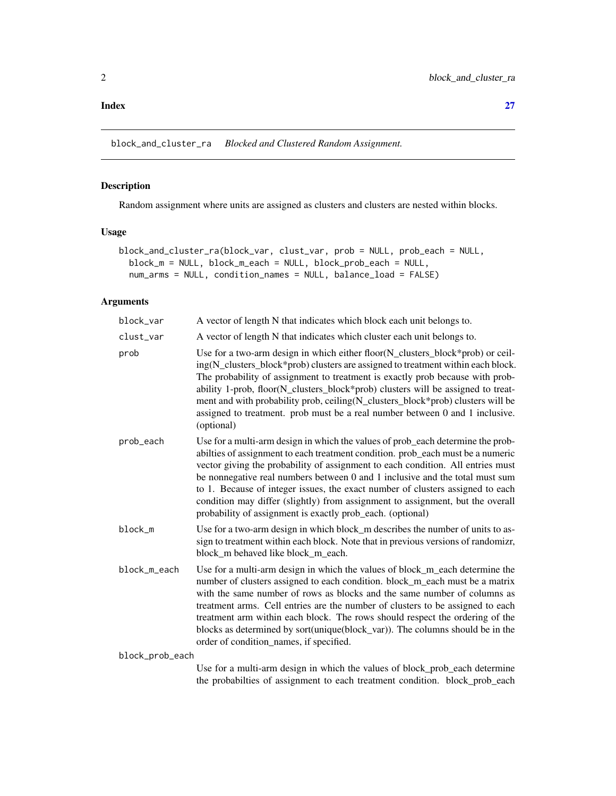<span id="page-1-0"></span>block\_and\_cluster\_ra *Blocked and Clustered Random Assignment.*

## Description

Random assignment where units are assigned as clusters and clusters are nested within blocks.

## Usage

```
block_and_cluster_ra(block_var, clust_var, prob = NULL, prob_each = NULL,
 block_m = NULL, block_m_each = NULL, block_prob_each = NULL,
  num_arms = NULL, condition_names = NULL, balance_load = FALSE)
```
## Arguments

| block_var       | A vector of length N that indicates which block each unit belongs to.                                                                                                                                                                                                                                                                                                                                                                                                                                                                                                   |
|-----------------|-------------------------------------------------------------------------------------------------------------------------------------------------------------------------------------------------------------------------------------------------------------------------------------------------------------------------------------------------------------------------------------------------------------------------------------------------------------------------------------------------------------------------------------------------------------------------|
| clust_var       | A vector of length N that indicates which cluster each unit belongs to.                                                                                                                                                                                                                                                                                                                                                                                                                                                                                                 |
| prob            | Use for a two-arm design in which either floor(N_clusters_block*prob) or ceil-<br>ing(N_clusters_block*prob) clusters are assigned to treatment within each block.<br>The probability of assignment to treatment is exactly prob because with prob-<br>ability 1-prob, floor(N_clusters_block*prob) clusters will be assigned to treat-<br>ment and with probability prob, ceiling(N_clusters_block*prob) clusters will be<br>assigned to treatment. prob must be a real number between 0 and 1 inclusive.<br>(optional)                                                |
| prob_each       | Use for a multi-arm design in which the values of prob_each determine the prob-<br>abilties of assignment to each treatment condition. prob_each must be a numeric<br>vector giving the probability of assignment to each condition. All entries must<br>be nonnegative real numbers between 0 and 1 inclusive and the total must sum<br>to 1. Because of integer issues, the exact number of clusters assigned to each<br>condition may differ (slightly) from assignment to assignment, but the overall<br>probability of assignment is exactly prob_each. (optional) |
| block_m         | Use for a two-arm design in which block_m describes the number of units to as-<br>sign to treatment within each block. Note that in previous versions of randomizr,<br>block_m behaved like block_m_each.                                                                                                                                                                                                                                                                                                                                                               |
| block_m_each    | Use for a multi-arm design in which the values of block_m_each determine the<br>number of clusters assigned to each condition. block_m_each must be a matrix<br>with the same number of rows as blocks and the same number of columns as<br>treatment arms. Cell entries are the number of clusters to be assigned to each<br>treatment arm within each block. The rows should respect the ordering of the<br>blocks as determined by sort(unique(block_var)). The columns should be in the<br>order of condition_names, if specified.                                  |
| block_prob_each |                                                                                                                                                                                                                                                                                                                                                                                                                                                                                                                                                                         |
|                 | The few considers and declare to subject the subsequent black work weak determine                                                                                                                                                                                                                                                                                                                                                                                                                                                                                       |

Use for a multi-arm design in which the values of block\_prob\_each determine the probabilties of assignment to each treatment condition. block\_prob\_each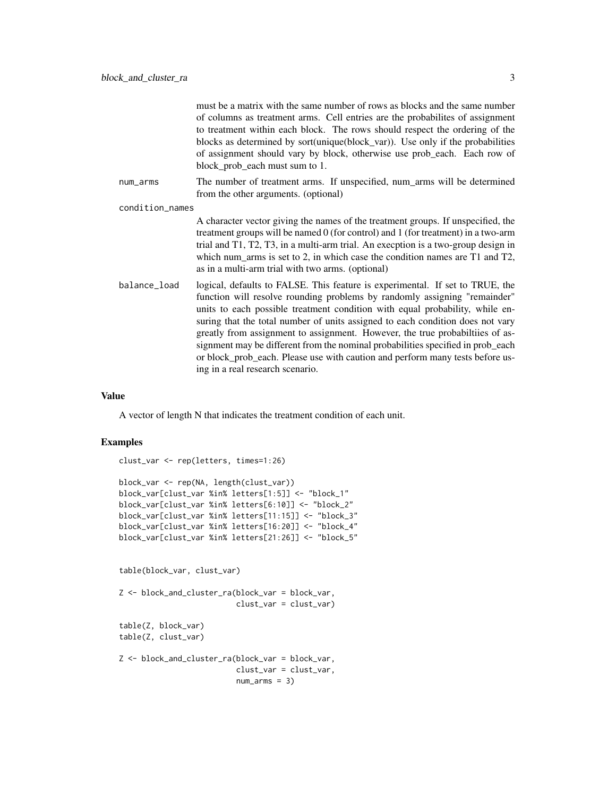|                 | must be a matrix with the same number of rows as blocks and the same number<br>of columns as treatment arms. Cell entries are the probabilites of assignment<br>to treatment within each block. The rows should respect the ordering of the<br>blocks as determined by sort(unique(block_var)). Use only if the probabilities<br>of assignment should vary by block, otherwise use prob_each. Each row of<br>block_prob_each must sum to 1.                                                                                                                                                                           |
|-----------------|-----------------------------------------------------------------------------------------------------------------------------------------------------------------------------------------------------------------------------------------------------------------------------------------------------------------------------------------------------------------------------------------------------------------------------------------------------------------------------------------------------------------------------------------------------------------------------------------------------------------------|
| num_arms        | The number of treatment arms. If unspecified, num_arms will be determined<br>from the other arguments. (optional)                                                                                                                                                                                                                                                                                                                                                                                                                                                                                                     |
| condition_names |                                                                                                                                                                                                                                                                                                                                                                                                                                                                                                                                                                                                                       |
|                 | A character vector giving the names of the treatment groups. If unspecified, the<br>treatment groups will be named 0 (for control) and 1 (for treatment) in a two-arm<br>trial and T1, T2, T3, in a multi-arm trial. An execption is a two-group design in<br>which num_arms is set to 2, in which case the condition names are $T1$ and $T2$ ,<br>as in a multi-arm trial with two arms. (optional)                                                                                                                                                                                                                  |
| balance_load    | logical, defaults to FALSE. This feature is experimental. If set to TRUE, the<br>function will resolve rounding problems by randomly assigning "remainder"<br>units to each possible treatment condition with equal probability, while en-<br>suring that the total number of units assigned to each condition does not vary<br>greatly from assignment to assignment. However, the true probabilities of as-<br>signment may be different from the nominal probabilities specified in prob_each<br>or block_prob_each. Please use with caution and perform many tests before us-<br>ing in a real research scenario. |

A vector of length N that indicates the treatment condition of each unit.

```
clust_var <- rep(letters, times=1:26)
block_var <- rep(NA, length(clust_var))
block_var[clust_var %in% letters[1:5]] <- "block_1"
block_var[clust_var %in% letters[6:10]] <- "block_2"
block_var[clust_var %in% letters[11:15]] <- "block_3"
block_var[clust_var %in% letters[16:20]] <- "block_4"
block_var[clust_var %in% letters[21:26]] <- "block_5"
table(block_var, clust_var)
Z <- block_and_cluster_ra(block_var = block_var,
                         clust_var = clust_var)
table(Z, block_var)
table(Z, clust_var)
Z <- block_and_cluster_ra(block_var = block_var,
                         clust_var = clust_var,
                          num_arms = 3)
```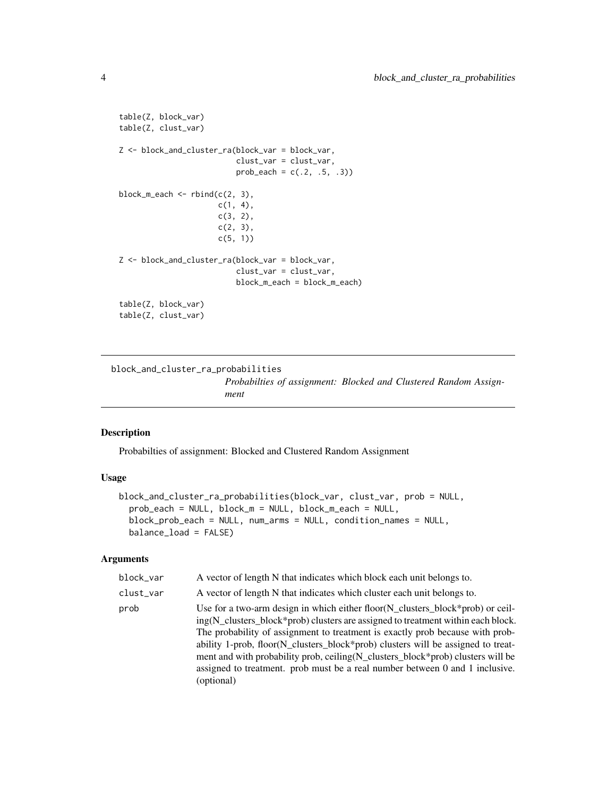```
table(Z, block_var)
table(Z, clust_var)
Z <- block_and_cluster_ra(block_var = block_var,
                          clust_var = clust_var,
                          prob\_each = c(.2, .5, .3))block_m_each \leq rbind(c(2, 3),
                      c(1, 4),
                      c(3, 2),
                      c(2, 3),
                      c(5, 1)Z <- block_and_cluster_ra(block_var = block_var,
                          clust_var = clust_var,
                          block_m_each = block_m_each)
table(Z, block_var)
table(Z, clust_var)
```
block\_and\_cluster\_ra\_probabilities *Probabilties of assignment: Blocked and Clustered Random Assignment*

## Description

Probabilties of assignment: Blocked and Clustered Random Assignment

## Usage

```
block_and_cluster_ra_probabilities(block_var, clust_var, prob = NULL,
  prob_each = NULL, block_m = NULL, block_m_each = NULL,
 block_prob_each = NULL, num_arms = NULL, condition_names = NULL,
 balance_load = FALSE)
```

| block_var | A vector of length N that indicates which block each unit belongs to.                                                                                                                                                                                                                                                                                                                                                                                                                                                     |
|-----------|---------------------------------------------------------------------------------------------------------------------------------------------------------------------------------------------------------------------------------------------------------------------------------------------------------------------------------------------------------------------------------------------------------------------------------------------------------------------------------------------------------------------------|
| clust_var | A vector of length N that indicates which cluster each unit belongs to.                                                                                                                                                                                                                                                                                                                                                                                                                                                   |
| prob      | Use for a two-arm design in which either floor(N_clusters_block*prob) or ceil-<br>ing(N clusters block*prob) clusters are assigned to treatment within each block.<br>The probability of assignment to treatment is exactly prob-because with prob-<br>ability 1-prob, floor(N_clusters_block*prob) clusters will be assigned to treat-<br>ment and with probability prob, ceiling (N_clusters_block*prob) clusters will be<br>assigned to treatment. prob must be a real number between 0 and 1 inclusive.<br>(optional) |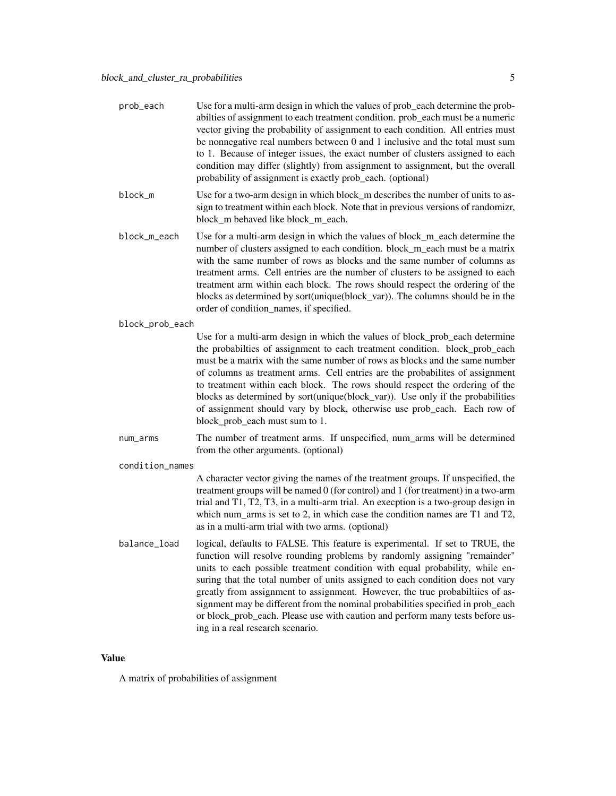| prob_each       | Use for a multi-arm design in which the values of prob_each determine the prob-<br>abilties of assignment to each treatment condition. prob_each must be a numeric<br>vector giving the probability of assignment to each condition. All entries must<br>be nonnegative real numbers between $0$ and $1$ inclusive and the total must sum<br>to 1. Because of integer issues, the exact number of clusters assigned to each<br>condition may differ (slightly) from assignment to assignment, but the overall<br>probability of assignment is exactly prob_each. (optional)                                           |
|-----------------|-----------------------------------------------------------------------------------------------------------------------------------------------------------------------------------------------------------------------------------------------------------------------------------------------------------------------------------------------------------------------------------------------------------------------------------------------------------------------------------------------------------------------------------------------------------------------------------------------------------------------|
| block_m         | Use for a two-arm design in which block_m describes the number of units to as-<br>sign to treatment within each block. Note that in previous versions of randomizr,<br>block m behaved like block m each.                                                                                                                                                                                                                                                                                                                                                                                                             |
| block_m_each    | Use for a multi-arm design in which the values of block_m_each determine the<br>number of clusters assigned to each condition. block_m_each must be a matrix<br>with the same number of rows as blocks and the same number of columns as<br>treatment arms. Cell entries are the number of clusters to be assigned to each<br>treatment arm within each block. The rows should respect the ordering of the<br>blocks as determined by sort(unique(block_var)). The columns should be in the<br>order of condition_names, if specified.                                                                                |
| block_prob_each |                                                                                                                                                                                                                                                                                                                                                                                                                                                                                                                                                                                                                       |
|                 | Use for a multi-arm design in which the values of block_prob_each determine<br>the probabilties of assignment to each treatment condition. block_prob_each<br>must be a matrix with the same number of rows as blocks and the same number<br>of columns as treatment arms. Cell entries are the probabilites of assignment<br>to treatment within each block. The rows should respect the ordering of the<br>blocks as determined by sort(unique(block_var)). Use only if the probabilities<br>of assignment should vary by block, otherwise use prob_each. Each row of<br>block_prob_each must sum to 1.             |
| num_arms        | The number of treatment arms. If unspecified, num_arms will be determined<br>from the other arguments. (optional)                                                                                                                                                                                                                                                                                                                                                                                                                                                                                                     |
| condition_names |                                                                                                                                                                                                                                                                                                                                                                                                                                                                                                                                                                                                                       |
|                 | A character vector giving the names of the treatment groups. If unspecified, the<br>treatment groups will be named 0 (for control) and 1 (for treatment) in a two-arm<br>trial and T1, T2, T3, in a multi-arm trial. An execption is a two-group design in<br>which num_arms is set to 2, in which case the condition names are T1 and T2,<br>as in a multi-arm trial with two arms. (optional)                                                                                                                                                                                                                       |
| balance_load    | logical, defaults to FALSE. This feature is experimental. If set to TRUE, the<br>function will resolve rounding problems by randomly assigning "remainder"<br>units to each possible treatment condition with equal probability, while en-<br>suring that the total number of units assigned to each condition does not vary<br>greatly from assignment to assignment. However, the true probabiltiies of as-<br>signment may be different from the nominal probabilities specified in prob_each<br>or block_prob_each. Please use with caution and perform many tests before us-<br>ing in a real research scenario. |

A matrix of probabilities of assignment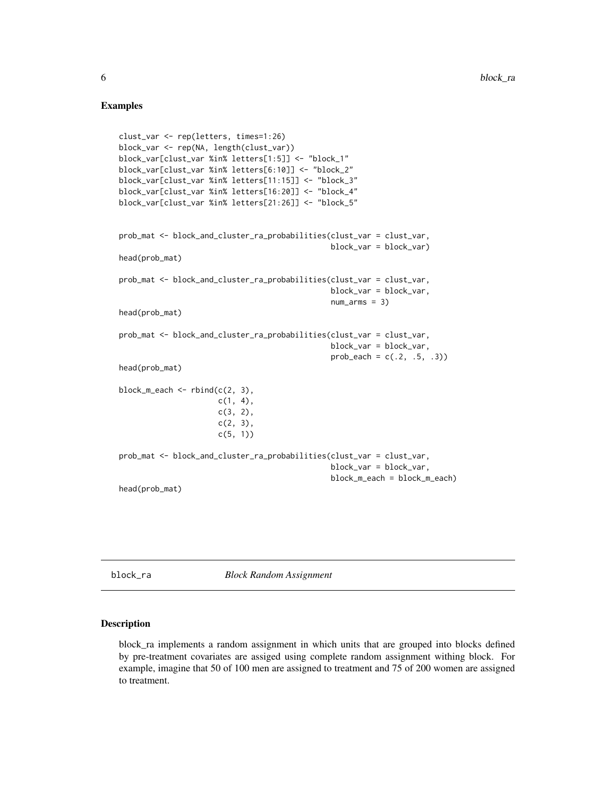## Examples

```
clust_var <- rep(letters, times=1:26)
block_var <- rep(NA, length(clust_var))
block_var[clust_var %in% letters[1:5]] <- "block_1"
block_var[clust_var %in% letters[6:10]] <- "block_2"
block_var[clust_var %in% letters[11:15]] <- "block_3"
block_var[clust_var %in% letters[16:20]] <- "block_4"
block_var[clust_var %in% letters[21:26]] <- "block_5"
prob_mat <- block_and_cluster_ra_probabilities(clust_var = clust_var,
                                               block_var = block_var)
head(prob_mat)
prob_mat <- block_and_cluster_ra_probabilities(clust_var = clust_var,
                                               block_var = block_var,
                                               num_arms = 3)head(prob_mat)
prob_mat <- block_and_cluster_ra_probabilities(clust_var = clust_var,
                                               block_var = block_var,
                                               prob\_each = c(.2, .5, .3))head(prob_mat)
block_m_each \leq rbind(c(2, 3),
                      c(1, 4),
                      c(3, 2),
                      c(2, 3),
                      c(5, 1))
prob_mat <- block_and_cluster_ra_probabilities(clust_var = clust_var,
                                               block_var = block_var,
                                               block_m_each = block_m_each)
head(prob_mat)
```
block\_ra *Block Random Assignment*

## Description

block\_ra implements a random assignment in which units that are grouped into blocks defined by pre-treatment covariates are assiged using complete random assignment withing block. For example, imagine that 50 of 100 men are assigned to treatment and 75 of 200 women are assigned to treatment.

<span id="page-5-0"></span>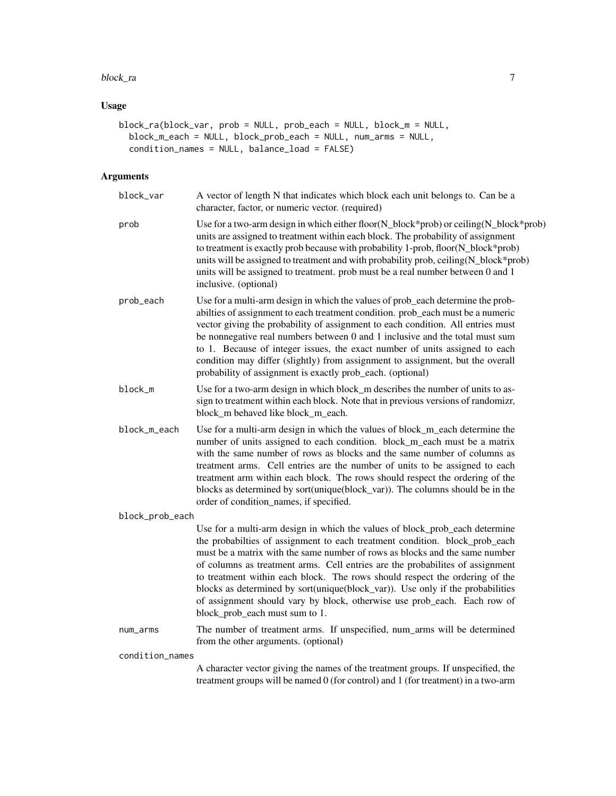#### block\_ra 7

## Usage

```
block_ra(block_var, prob = NULL, prob_each = NULL, block_m = NULL,
 block_m_each = NULL, block_prob_each = NULL, num_arms = NULL,
  condition_names = NULL, balance_load = FALSE)
```

| block_var       | A vector of length N that indicates which block each unit belongs to. Can be a<br>character, factor, or numeric vector. (required)                                                                                                                                                                                                                                                                                                                                                                                                                                                                        |
|-----------------|-----------------------------------------------------------------------------------------------------------------------------------------------------------------------------------------------------------------------------------------------------------------------------------------------------------------------------------------------------------------------------------------------------------------------------------------------------------------------------------------------------------------------------------------------------------------------------------------------------------|
| prob            | Use for a two-arm design in which either floor(N_block*prob) or ceiling(N_block*prob)<br>units are assigned to treatment within each block. The probability of assignment<br>to treatment is exactly prob because with probability 1-prob, floor(N_block*prob)<br>units will be assigned to treatment and with probability prob, ceiling(N_block*prob)<br>units will be assigned to treatment. prob must be a real number between 0 and 1<br>inclusive. (optional)                                                                                                                                        |
| prob_each       | Use for a multi-arm design in which the values of prob_each determine the prob-<br>abilties of assignment to each treatment condition. prob_each must be a numeric<br>vector giving the probability of assignment to each condition. All entries must<br>be nonnegative real numbers between 0 and 1 inclusive and the total must sum<br>to 1. Because of integer issues, the exact number of units assigned to each<br>condition may differ (slightly) from assignment to assignment, but the overall<br>probability of assignment is exactly prob_each. (optional)                                      |
| block_m         | Use for a two-arm design in which block_m describes the number of units to as-<br>sign to treatment within each block. Note that in previous versions of randomizr,<br>block_m behaved like block_m_each.                                                                                                                                                                                                                                                                                                                                                                                                 |
| block_m_each    | Use for a multi-arm design in which the values of block_m_each determine the<br>number of units assigned to each condition. block_m_each must be a matrix<br>with the same number of rows as blocks and the same number of columns as<br>treatment arms. Cell entries are the number of units to be assigned to each<br>treatment arm within each block. The rows should respect the ordering of the<br>blocks as determined by sort(unique(block_var)). The columns should be in the<br>order of condition_names, if specified.                                                                          |
| block_prob_each |                                                                                                                                                                                                                                                                                                                                                                                                                                                                                                                                                                                                           |
|                 | Use for a multi-arm design in which the values of block_prob_each determine<br>the probabilties of assignment to each treatment condition. block_prob_each<br>must be a matrix with the same number of rows as blocks and the same number<br>of columns as treatment arms. Cell entries are the probabilites of assignment<br>to treatment within each block. The rows should respect the ordering of the<br>blocks as determined by sort(unique(block_var)). Use only if the probabilities<br>of assignment should vary by block, otherwise use prob_each. Each row of<br>block_prob_each must sum to 1. |
| num_arms        | The number of treatment arms. If unspecified, num_arms will be determined<br>from the other arguments. (optional)                                                                                                                                                                                                                                                                                                                                                                                                                                                                                         |
| condition_names |                                                                                                                                                                                                                                                                                                                                                                                                                                                                                                                                                                                                           |
|                 | A character vector giving the names of the treatment groups. If unspecified, the<br>treatment groups will be named 0 (for control) and 1 (for treatment) in a two-arm                                                                                                                                                                                                                                                                                                                                                                                                                                     |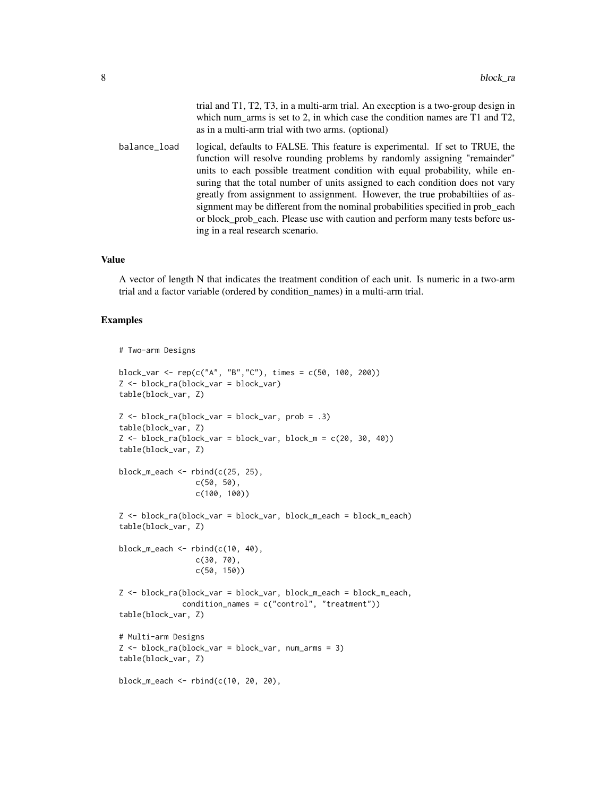|              | trial and $T1$ , $T2$ , $T3$ , in a multi-arm trial. An execption is a two-group design in<br>which num_arms is set to 2, in which case the condition names are $T1$ and $T2$ ,<br>as in a multi-arm trial with two arms. (optional)                                                                                                                                                                                                                                                                                                                                                                                  |
|--------------|-----------------------------------------------------------------------------------------------------------------------------------------------------------------------------------------------------------------------------------------------------------------------------------------------------------------------------------------------------------------------------------------------------------------------------------------------------------------------------------------------------------------------------------------------------------------------------------------------------------------------|
| balance_load | logical, defaults to FALSE. This feature is experimental. If set to TRUE, the<br>function will resolve rounding problems by randomly assigning "remainder"<br>units to each possible treatment condition with equal probability, while en-<br>suring that the total number of units assigned to each condition does not vary<br>greatly from assignment to assignment. However, the true probabilities of as-<br>signment may be different from the nominal probabilities specified in prob_each<br>or block prob each. Please use with caution and perform many tests before us-<br>ing in a real research scenario. |

A vector of length N that indicates the treatment condition of each unit. Is numeric in a two-arm trial and a factor variable (ordered by condition\_names) in a multi-arm trial.

```
# Two-arm Designs
block_var <- rep(c("A", "B","C"), times = c(50, 100, 200))
Z <- block_ra(block_var = block_var)
table(block_var, Z)
Z \le - block_ra(block_var = block_var, prob = .3)
table(block_var, Z)
Z \leq - block_ra(block_var = block_var, block_m = c(20, 30, 40))
table(block_var, Z)
block_m_each \le rbind(c(25, 25),
                  c(50, 50),
                  c(100, 100))
Z <- block_ra(block_var = block_var, block_m_each = block_m_each)
table(block_var, Z)
block_m_each \leq rbind(c(10, 40),
                  c(30, 70),
                  c(50, 150))
Z <- block_ra(block_var = block_var, block_m_each = block_m_each,
              condition_names = c("control", "treatment"))
table(block_var, Z)
# Multi-arm Designs
Z \leq - \text{block\_ra(block\_var} = \text{block\_var}, \text{num\_arms} = 3)table(block_var, Z)
block_m_each <- rbind(c(10, 20, 20),
```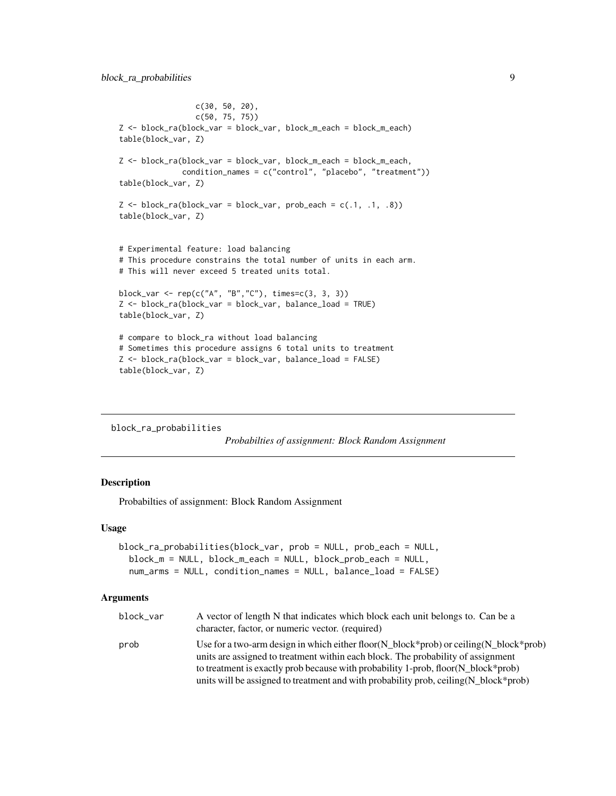```
c(30, 50, 20),
                 c(50, 75, 75))
Z <- block_ra(block_var = block_var, block_m_each = block_m_each)
table(block_var, Z)
Z <- block_ra(block_var = block_var, block_m_each = block_m_each,
              condition_names = c("control", "placebo", "treatment"))
table(block_var, Z)
Z \leq - \text{block\_ra(block\_var} = \text{block\_var}, \text{prob\_each} = c(.1, .1, .8))table(block_var, Z)
# Experimental feature: load balancing
# This procedure constrains the total number of units in each arm.
# This will never exceed 5 treated units total.
block_var <- rep(c("A", "B","C"), times=c(3, 3, 3))
Z <- block_ra(block_var = block_var, balance_load = TRUE)
table(block_var, Z)
# compare to block_ra without load balancing
# Sometimes this procedure assigns 6 total units to treatment
Z <- block_ra(block_var = block_var, balance_load = FALSE)
table(block_var, Z)
```

```
block_ra_probabilities
```
*Probabilties of assignment: Block Random Assignment*

## Description

Probabilties of assignment: Block Random Assignment

#### Usage

```
block_ra_probabilities(block_var, prob = NULL, prob_each = NULL,
 block_m = NULL, block_m_each = NULL, block_prob_each = NULL,
  num_arms = NULL, condition_names = NULL, balance_load = FALSE)
```

| block_var | A vector of length N that indicates which block each unit belongs to. Can be a<br>character, factor, or numeric vector. (required)                                                  |
|-----------|-------------------------------------------------------------------------------------------------------------------------------------------------------------------------------------|
| prob      | Use for a two-arm design in which either floor( $N_b$ block*prob) or ceiling( $N_b$ block*prob)<br>units are assigned to treatment within each block. The probability of assignment |
|           | to treatment is exactly prob because with probability 1-prob, floor(N_block*prob)                                                                                                   |
|           | units will be assigned to treatment and with probability prob, ceiling (N_block*prob)                                                                                               |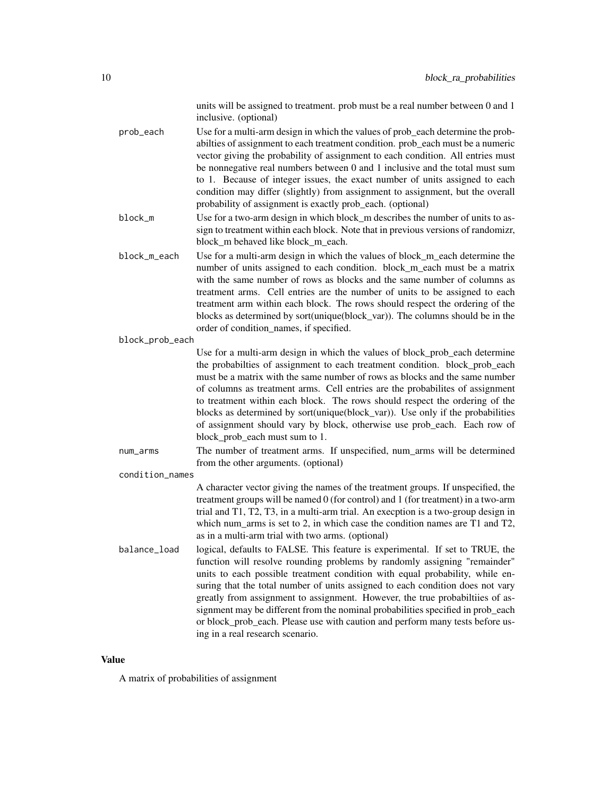units will be assigned to treatment. prob must be a real number between 0 and 1 inclusive. (optional)

prob\_each Use for a multi-arm design in which the values of prob\_each determine the probabilties of assignment to each treatment condition. prob\_each must be a numeric vector giving the probability of assignment to each condition. All entries must be nonnegative real numbers between 0 and 1 inclusive and the total must sum to 1. Because of integer issues, the exact number of units assigned to each condition may differ (slightly) from assignment to assignment, but the overall probability of assignment is exactly prob\_each. (optional)

block\_m Use for a two-arm design in which block m describes the number of units to assign to treatment within each block. Note that in previous versions of randomizr, block m behaved like block m each.

block\_m\_each Use for a multi-arm design in which the values of block\_m\_each determine the number of units assigned to each condition. block m each must be a matrix with the same number of rows as blocks and the same number of columns as treatment arms. Cell entries are the number of units to be assigned to each treatment arm within each block. The rows should respect the ordering of the blocks as determined by sort(unique(block\_var)). The columns should be in the order of condition\_names, if specified.

#### block\_prob\_each

Use for a multi-arm design in which the values of block prob\_each determine the probabilties of assignment to each treatment condition. block\_prob\_each must be a matrix with the same number of rows as blocks and the same number of columns as treatment arms. Cell entries are the probabilites of assignment to treatment within each block. The rows should respect the ordering of the blocks as determined by sort(unique(block\_var)). Use only if the probabilities of assignment should vary by block, otherwise use prob\_each. Each row of block\_prob\_each must sum to 1.

num\_arms The number of treatment arms. If unspecified, num\_arms will be determined from the other arguments. (optional)

#### condition\_names

A character vector giving the names of the treatment groups. If unspecified, the treatment groups will be named 0 (for control) and 1 (for treatment) in a two-arm trial and T1, T2, T3, in a multi-arm trial. An execption is a two-group design in which num\_arms is set to 2, in which case the condition names are T1 and T2, as in a multi-arm trial with two arms. (optional)

balance\_load logical, defaults to FALSE. This feature is experimental. If set to TRUE, the function will resolve rounding problems by randomly assigning "remainder" units to each possible treatment condition with equal probability, while ensuring that the total number of units assigned to each condition does not vary greatly from assignment to assignment. However, the true probabiltiies of assignment may be different from the nominal probabilities specified in prob\_each or block prob\_each. Please use with caution and perform many tests before using in a real research scenario.

## Value

A matrix of probabilities of assignment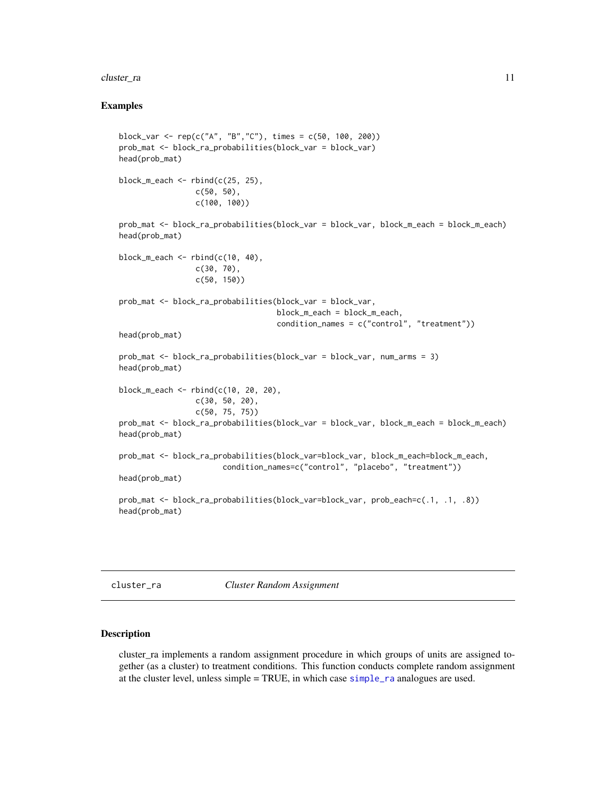#### <span id="page-10-0"></span>cluster\_ra 11

## Examples

```
block_var <- rep(c("A", "B","C"), times = c(50, 100, 200))
prob_mat <- block_ra_probabilities(block_var = block_var)
head(prob_mat)
block_m_each \le rbind(c(25, 25),
                 c(50, 50),
                 c(100, 100))
prob_mat <- block_ra_probabilities(block_var = block_var, block_m_each = block_m_each)
head(prob_mat)
block_m_each <- rbind(c(10, 40),c(30, 70),
                 c(50, 150))
prob_mat <- block_ra_probabilities(block_var = block_var,
                                   block_m_each = block_m_each,
                                   condition_names = c("control", "treatment"))
head(prob_mat)
prob_mat <- block_ra_probabilities(block_var = block_var, num_arms = 3)
head(prob_mat)
block_m_each <- rbind(c(10, 20, 20),
                 c(30, 50, 20),
                 c(50, 75, 75))
prob_mat <- block_ra_probabilities(block_var = block_var, block_m_each = block_m_each)
head(prob_mat)
prob_mat <- block_ra_probabilities(block_var=block_var, block_m_each=block_m_each,
                       condition_names=c("control", "placebo", "treatment"))
head(prob_mat)
prob_mat <- block_ra_probabilities(block_var=block_var, prob_each=c(.1, .1, .8))
head(prob_mat)
```
cluster\_ra *Cluster Random Assignment*

#### Description

cluster\_ra implements a random assignment procedure in which groups of units are assigned together (as a cluster) to treatment conditions. This function conducts complete random assignment at the cluster level, unless simple = TRUE, in which case [simple\\_ra](#page-22-1) analogues are used.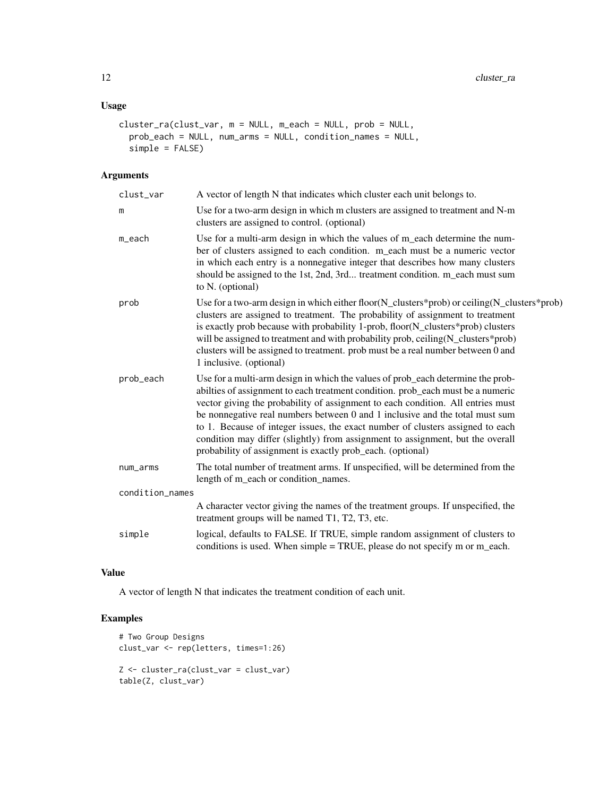## Usage

```
cluster_ra(clust_var, m = NULL, m_each = NULL, prob = NULL,
 prob_each = NULL, num_arms = NULL, condition_names = NULL,
 simple = FALSE)
```
## Arguments

| clust_var       | A vector of length N that indicates which cluster each unit belongs to.                                                                                                                                                                                                                                                                                                                                                                                                                                                                                                 |
|-----------------|-------------------------------------------------------------------------------------------------------------------------------------------------------------------------------------------------------------------------------------------------------------------------------------------------------------------------------------------------------------------------------------------------------------------------------------------------------------------------------------------------------------------------------------------------------------------------|
| m               | Use for a two-arm design in which m clusters are assigned to treatment and N-m<br>clusters are assigned to control. (optional)                                                                                                                                                                                                                                                                                                                                                                                                                                          |
| m_each          | Use for a multi-arm design in which the values of m_each determine the num-<br>ber of clusters assigned to each condition. m_each must be a numeric vector<br>in which each entry is a nonnegative integer that describes how many clusters<br>should be assigned to the 1st, 2nd, 3rd treatment condition. m_each must sum<br>to N. (optional)                                                                                                                                                                                                                         |
| prob            | Use for a two-arm design in which either floor( $N$ _clusters*prob) or ceiling( $N$ _clusters*prob)<br>clusters are assigned to treatment. The probability of assignment to treatment<br>is exactly prob because with probability 1-prob, floor(N_clusters*prob) clusters<br>will be assigned to treatment and with probability prob, ceiling (N_clusters*prob)<br>clusters will be assigned to treatment. prob must be a real number between 0 and<br>1 inclusive. (optional)                                                                                          |
| prob_each       | Use for a multi-arm design in which the values of prob_each determine the prob-<br>abilties of assignment to each treatment condition. prob_each must be a numeric<br>vector giving the probability of assignment to each condition. All entries must<br>be nonnegative real numbers between 0 and 1 inclusive and the total must sum<br>to 1. Because of integer issues, the exact number of clusters assigned to each<br>condition may differ (slightly) from assignment to assignment, but the overall<br>probability of assignment is exactly prob_each. (optional) |
| num_arms        | The total number of treatment arms. If unspecified, will be determined from the<br>length of m_each or condition_names.                                                                                                                                                                                                                                                                                                                                                                                                                                                 |
| condition_names |                                                                                                                                                                                                                                                                                                                                                                                                                                                                                                                                                                         |
|                 | A character vector giving the names of the treatment groups. If unspecified, the<br>treatment groups will be named T1, T2, T3, etc.                                                                                                                                                                                                                                                                                                                                                                                                                                     |
| simple          | logical, defaults to FALSE. If TRUE, simple random assignment of clusters to<br>conditions is used. When simple = TRUE, please do not specify m or m_each.                                                                                                                                                                                                                                                                                                                                                                                                              |

## Value

A vector of length N that indicates the treatment condition of each unit.

```
# Two Group Designs
clust_var <- rep(letters, times=1:26)
Z <- cluster_ra(clust_var = clust_var)
table(Z, clust_var)
```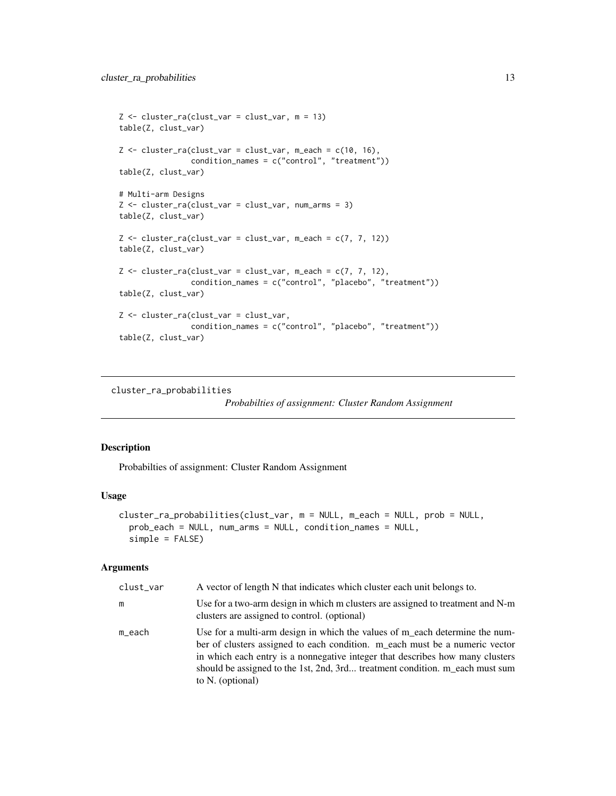```
Z <- cluster_ra(clust_var = clust_var, m = 13)
table(Z, clust_var)
Z \leq cluster_ra(clust_var = clust_var, m_each = c(10, 16),
                condition_names = c("control", "treatment"))
table(Z, clust_var)
# Multi-arm Designs
Z <- cluster_ra(clust_var = clust_var, num_arms = 3)
table(Z, clust_var)
Z \leftarrow cluster_ra(clust_var = clust_var, m_each = c(7, 7, 12))
table(Z, clust_var)
Z \leq cluster\_ra(clust\_var = clust\_var, m\_each = c(7, 7, 12),condition_names = c("control", "placebo", "treatment"))
table(Z, clust_var)
Z <- cluster_ra(clust_var = clust_var,
                condition_names = c("control", "placebo", "treatment"))
table(Z, clust_var)
```
cluster\_ra\_probabilities

*Probabilties of assignment: Cluster Random Assignment*

## Description

Probabilties of assignment: Cluster Random Assignment

#### Usage

```
cluster_ra_probabilities(clust_var, m = NULL, m_each = NULL, prob = NULL,
 prob_each = NULL, num_arms = NULL, condition_names = NULL,
  simple = FALSE)
```

| clust_var | A vector of length N that indicates which cluster each unit belongs to.                                                                                                                                                                                                                                                                         |
|-----------|-------------------------------------------------------------------------------------------------------------------------------------------------------------------------------------------------------------------------------------------------------------------------------------------------------------------------------------------------|
| m         | Use for a two-arm design in which m clusters are assigned to treatment and N-m<br>clusters are assigned to control. (optional)                                                                                                                                                                                                                  |
| m_each    | Use for a multi-arm design in which the values of m_each determine the num-<br>ber of clusters assigned to each condition. m each must be a numeric vector<br>in which each entry is a nonnegative integer that describes how many clusters<br>should be assigned to the 1st, 2nd, 3rd treatment condition. m_each must sum<br>to N. (optional) |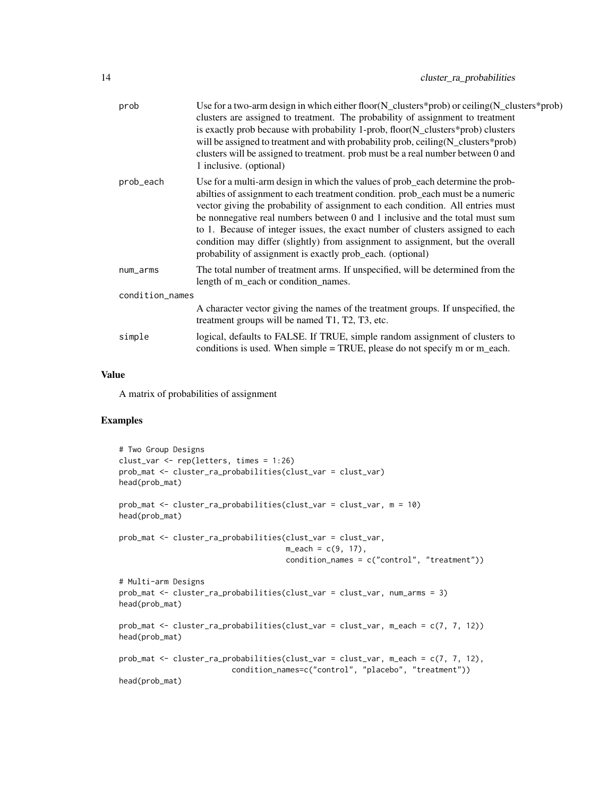| prob            | Use for a two-arm design in which either floor $(N_{\text{clusters}}*prob)$ or ceiling $(N_{\text{clusters}}*prob)$<br>clusters are assigned to treatment. The probability of assignment to treatment<br>is exactly prob because with probability 1-prob, floor(N_clusters*prob) clusters<br>will be assigned to treatment and with probability prob, ceiling (N_clusters*prob)<br>clusters will be assigned to treatment. prob must be a real number between 0 and<br>1 inclusive. (optional)                                                                          |
|-----------------|-------------------------------------------------------------------------------------------------------------------------------------------------------------------------------------------------------------------------------------------------------------------------------------------------------------------------------------------------------------------------------------------------------------------------------------------------------------------------------------------------------------------------------------------------------------------------|
| prob_each       | Use for a multi-arm design in which the values of prob_each determine the prob-<br>abilties of assignment to each treatment condition. prob_each must be a numeric<br>vector giving the probability of assignment to each condition. All entries must<br>be nonnegative real numbers between 0 and 1 inclusive and the total must sum<br>to 1. Because of integer issues, the exact number of clusters assigned to each<br>condition may differ (slightly) from assignment to assignment, but the overall<br>probability of assignment is exactly prob_each. (optional) |
| num_arms        | The total number of treatment arms. If unspecified, will be determined from the<br>length of m_each or condition_names.                                                                                                                                                                                                                                                                                                                                                                                                                                                 |
| condition_names |                                                                                                                                                                                                                                                                                                                                                                                                                                                                                                                                                                         |
|                 | A character vector giving the names of the treatment groups. If unspecified, the<br>treatment groups will be named T1, T2, T3, etc.                                                                                                                                                                                                                                                                                                                                                                                                                                     |
| simple          | logical, defaults to FALSE. If TRUE, simple random assignment of clusters to<br>conditions is used. When simple $= TRUE$ , please do not specify m or m_each.                                                                                                                                                                                                                                                                                                                                                                                                           |
|                 |                                                                                                                                                                                                                                                                                                                                                                                                                                                                                                                                                                         |

A matrix of probabilities of assignment

```
# Two Group Designs
clust_var <- rep(letters, times = 1:26)
prob_mat <- cluster_ra_probabilities(clust_var = clust_var)
head(prob_mat)
prob_mat <- cluster_ra_probabilities(clust_var = clust_var, m = 10)
head(prob_mat)
prob_mat <- cluster_ra_probabilities(clust_var = clust_var,
                                     m<sub>each</sub> = c(9, 17),
                                     condition_names = c("control", "treatment"))
# Multi-arm Designs
prob_mat <- cluster_ra_probabilities(clust_var = clust_var, num_arms = 3)
head(prob_mat)
prob_mat <- cluster_ra_probabilities(clust_var = clust_var, m_each = c(7, 7, 12))
head(prob_mat)
prob_mat <- cluster_ra_probabilities(clust_var = clust_var, m_each = c(7, 7, 12),
                         condition_names=c("control", "placebo", "treatment"))
head(prob_mat)
```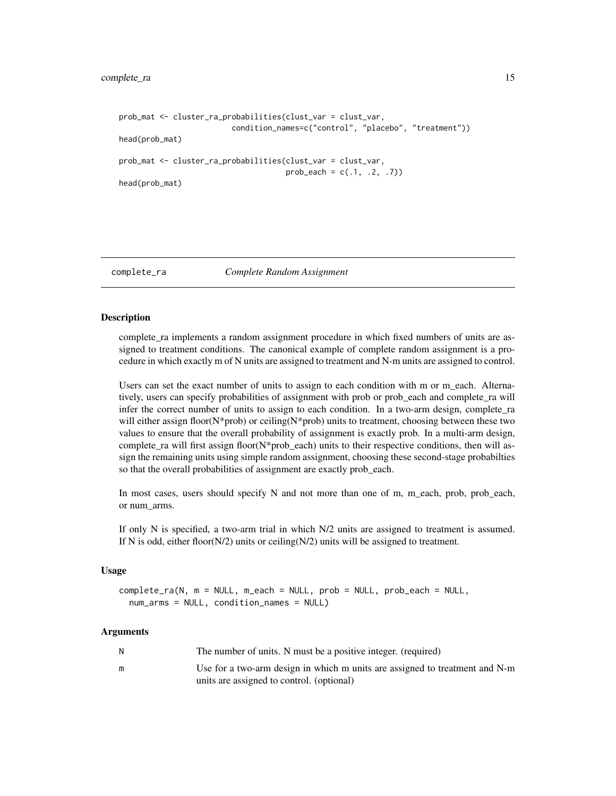```
prob_mat <- cluster_ra_probabilities(clust_var = clust_var,
                         condition_names=c("control", "placebo", "treatment"))
head(prob_mat)
prob_mat <- cluster_ra_probabilities(clust_var = clust_var,
                                     prob\_each = c(.1, .2, .7))head(prob_mat)
```
<span id="page-14-1"></span>complete\_ra *Complete Random Assignment*

#### **Description**

complete\_ra implements a random assignment procedure in which fixed numbers of units are assigned to treatment conditions. The canonical example of complete random assignment is a procedure in which exactly m of N units are assigned to treatment and N-m units are assigned to control.

Users can set the exact number of units to assign to each condition with m or m\_each. Alternatively, users can specify probabilities of assignment with prob or prob\_each and complete\_ra will infer the correct number of units to assign to each condition. In a two-arm design, complete\_ra will either assign floor( $N^*$ prob) or ceiling( $N^*$ prob) units to treatment, choosing between these two values to ensure that the overall probability of assignment is exactly prob. In a multi-arm design, complete\_ra will first assign floor( $N*prob$ \_each) units to their respective conditions, then will assign the remaining units using simple random assignment, choosing these second-stage probabilties so that the overall probabilities of assignment are exactly prob\_each.

In most cases, users should specify  $N$  and not more than one of m, m\_each, prob, prob\_each, or num\_arms.

If only N is specified, a two-arm trial in which N/2 units are assigned to treatment is assumed. If N is odd, either floor( $N/2$ ) units or ceiling( $N/2$ ) units will be assigned to treatment.

#### Usage

complete\_ra(N, m = NULL, m\_each = NULL, prob = NULL, prob\_each = NULL, num\_arms = NULL, condition\_names = NULL)

| N | The number of units. N must be a positive integer. (required)               |
|---|-----------------------------------------------------------------------------|
| m | Use for a two-arm design in which m units are assigned to treatment and N-m |
|   | units are assigned to control. (optional)                                   |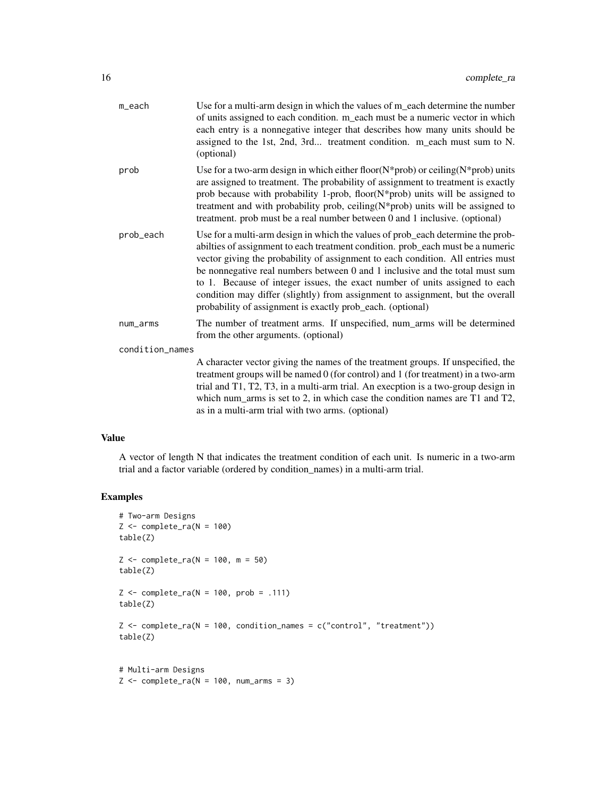| m_each          | Use for a multi-arm design in which the values of m_each determine the number<br>of units assigned to each condition. m_each must be a numeric vector in which<br>each entry is a nonnegative integer that describes how many units should be<br>assigned to the 1st, 2nd, 3rd treatment condition. m_each must sum to N.<br>(optional)                                                                                                                                                                                                                              |
|-----------------|----------------------------------------------------------------------------------------------------------------------------------------------------------------------------------------------------------------------------------------------------------------------------------------------------------------------------------------------------------------------------------------------------------------------------------------------------------------------------------------------------------------------------------------------------------------------|
| prob            | Use for a two-arm design in which either floor( $N$ *prob) or ceiling( $N$ *prob) units<br>are assigned to treatment. The probability of assignment to treatment is exactly<br>prob because with probability 1-prob, floor(N*prob) units will be assigned to<br>treatment and with probability prob, ceiling $(N^*prob)$ units will be assigned to<br>treatment. prob must be a real number between 0 and 1 inclusive. (optional)                                                                                                                                    |
| prob_each       | Use for a multi-arm design in which the values of prob_each determine the prob-<br>abilties of assignment to each treatment condition. prob_each must be a numeric<br>vector giving the probability of assignment to each condition. All entries must<br>be nonnegative real numbers between 0 and 1 inclusive and the total must sum<br>to 1. Because of integer issues, the exact number of units assigned to each<br>condition may differ (slightly) from assignment to assignment, but the overall<br>probability of assignment is exactly prob_each. (optional) |
| num_arms        | The number of treatment arms. If unspecified, num_arms will be determined<br>from the other arguments. (optional)                                                                                                                                                                                                                                                                                                                                                                                                                                                    |
| condition_names |                                                                                                                                                                                                                                                                                                                                                                                                                                                                                                                                                                      |
|                 | A character vector giving the names of the treatment groups. If unspecified, the<br>treatment groups will be named 0 (for control) and 1 (for treatment) in a two-arm<br>trial and T1, T2, T3, in a multi-arm trial. An execption is a two-group design in<br>which num_arms is set to 2, in which case the condition names are $T1$ and $T2$ ,<br>as in a multi-arm trial with two arms. (optional)                                                                                                                                                                 |

A vector of length N that indicates the treatment condition of each unit. Is numeric in a two-arm trial and a factor variable (ordered by condition\_names) in a multi-arm trial.

```
# Two-arm Designs
Z \leftarrow \text{complete\_ra}(N = 100)table(Z)
Z \leq complete_ra(N = 100, m = 50)
table(Z)
Z \le complete_ra(N = 100, prob = .111)
table(Z)
Z \leftarrow \text{complete\_ra(N = 100, condition\_names = c("control", "treatment"))table(Z)
# Multi-arm Designs
Z \leq complete_ra(N = 100, num_arms = 3)
```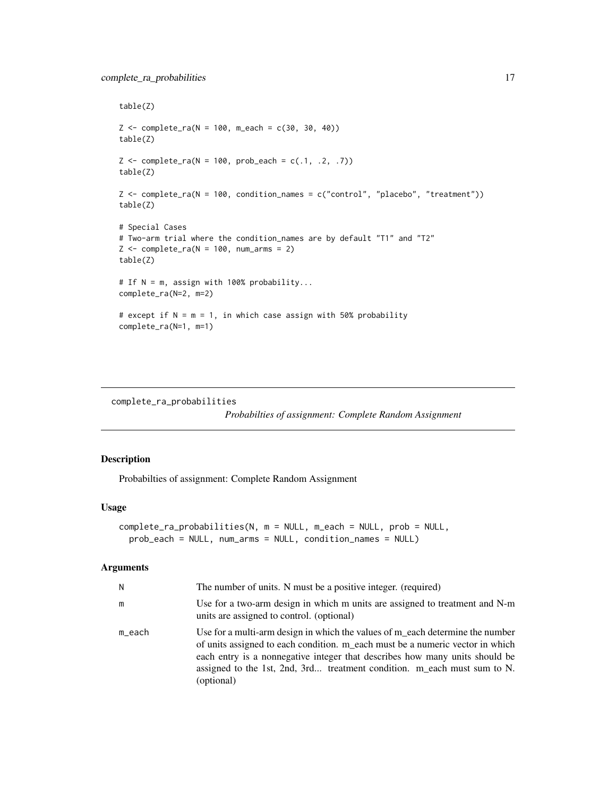```
table(Z)
Z \le complete_ra(N = 100, m_each = c(30, 30, 40))
table(Z)
Z \leq complete_ra(N = 100, prob_each = c(.1, .2, .7))
table(Z)
Z <- complete_ra(N = 100, condition_names = c("control", "placebo", "treatment"))
table(Z)
# Special Cases
# Two-arm trial where the condition_names are by default "T1" and "T2"
Z \le complete_ra(N = 100, num_arms = 2)
table(Z)
# If N = m, assign with 100% probability...
complete_ra(N=2, m=2)
# except if N = m = 1, in which case assign with 50% probability
complete_ra(N=1, m=1)
```

```
complete_ra_probabilities
```
*Probabilties of assignment: Complete Random Assignment*

## Description

Probabilties of assignment: Complete Random Assignment

#### Usage

```
complete_ra_probabilities(N, m = NULL, m_each = NULL, prob = NULL,
 prob_each = NULL, num_arms = NULL, condition_names = NULL)
```

| N      | The number of units. N must be a positive integer. (required)                                                                                                                                                                                                                                                                           |
|--------|-----------------------------------------------------------------------------------------------------------------------------------------------------------------------------------------------------------------------------------------------------------------------------------------------------------------------------------------|
| m      | Use for a two-arm design in which m units are assigned to treatment and N-m<br>units are assigned to control. (optional)                                                                                                                                                                                                                |
| m_each | Use for a multi-arm design in which the values of m each determine the number<br>of units assigned to each condition. m_each must be a numeric vector in which<br>each entry is a nonnegative integer that describes how many units should be<br>assigned to the 1st, 2nd, 3rd treatment condition. m_each must sum to N.<br>(optional) |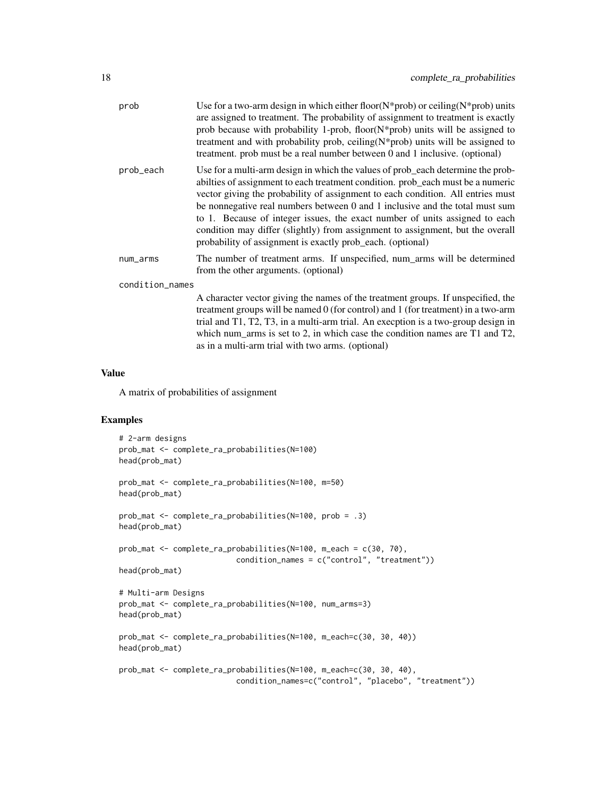| prob            | Use for a two-arm design in which either floor( $N^*$ prob) or ceiling( $N^*$ prob) units<br>are assigned to treatment. The probability of assignment to treatment is exactly<br>prob because with probability 1-prob, floor( $N$ *prob) units will be assigned to<br>treatment and with probability prob, ceiling $(N^*$ prob) units will be assigned to<br>treatment. prob must be a real number between 0 and 1 inclusive. (optional)                                                                                                                              |
|-----------------|-----------------------------------------------------------------------------------------------------------------------------------------------------------------------------------------------------------------------------------------------------------------------------------------------------------------------------------------------------------------------------------------------------------------------------------------------------------------------------------------------------------------------------------------------------------------------|
| prob_each       | Use for a multi-arm design in which the values of prob_each determine the prob-<br>abilities of assignment to each treatment condition. prob_each must be a numeric<br>vector giving the probability of assignment to each condition. All entries must<br>be nonnegative real numbers between 0 and 1 inclusive and the total must sum<br>to 1. Because of integer issues, the exact number of units assigned to each<br>condition may differ (slightly) from assignment to assignment, but the overall<br>probability of assignment is exactly prob_each. (optional) |
| num_arms        | The number of treatment arms. If unspecified, num_arms will be determined<br>from the other arguments. (optional)                                                                                                                                                                                                                                                                                                                                                                                                                                                     |
| condition_names |                                                                                                                                                                                                                                                                                                                                                                                                                                                                                                                                                                       |
|                 | A character vector giving the names of the treatment groups. If unspecified, the<br>treatment groups will be named $0$ (for control) and 1 (for treatment) in a two-arm<br>trial and T1, T2, T3, in a multi-arm trial. An execption is a two-group design in<br>which num arms is set to 2, in which case the condition names are $T1$ and $T2$ ,                                                                                                                                                                                                                     |

A matrix of probabilities of assignment

## Examples

```
# 2-arm designs
prob_mat <- complete_ra_probabilities(N=100)
head(prob_mat)
prob_mat <- complete_ra_probabilities(N=100, m=50)
head(prob_mat)
prob_mat <- complete_ra_probabilities(N=100, prob = .3)
head(prob_mat)
prob_mat <- complete_ra_probabilities(N=100, m_each = c(30, 70),
                         condition_names = c("control", "treatment"))
head(prob_mat)
# Multi-arm Designs
prob_mat <- complete_ra_probabilities(N=100, num_arms=3)
head(prob_mat)
prob_mat <- complete_ra_probabilities(N=100, m_each=c(30, 30, 40))
head(prob_mat)
prob_mat <- complete_ra_probabilities(N=100, m_each=c(30, 30, 40),
                          condition_names=c("control", "placebo", "treatment"))
```
as in a multi-arm trial with two arms. (optional)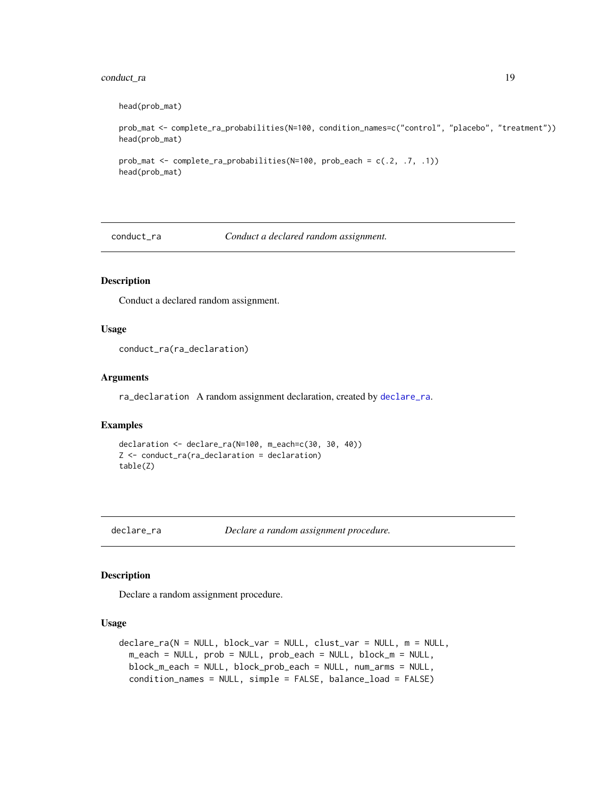## <span id="page-18-0"></span>conduct\_ra 19

```
head(prob_mat)
```

```
prob_mat <- complete_ra_probabilities(N=100, condition_names=c("control", "placebo", "treatment"))
head(prob_mat)
```

```
prob_mat <- complete_ra_probabilities(N=100, prob_each = c(.2, .7, .1))
head(prob_mat)
```
<span id="page-18-2"></span>conduct\_ra *Conduct a declared random assignment.*

## Description

Conduct a declared random assignment.

## Usage

conduct\_ra(ra\_declaration)

#### Arguments

ra\_declaration A random assignment declaration, created by [declare\\_ra](#page-18-1).

## Examples

```
declaration <- declare_ra(N=100, m_each=c(30, 30, 40))
Z <- conduct_ra(ra_declaration = declaration)
table(Z)
```
<span id="page-18-1"></span>declare\_ra *Declare a random assignment procedure.*

## Description

Declare a random assignment procedure.

#### Usage

```
declare_ra(N = NULL, block_var = NULL, clust_var = NULL, m = NULL,
 m_each = NULL, prob = NULL, prob_each = NULL, block_m = NULL,
 block_m_each = NULL, block_prob_each = NULL, num_arms = NULL,
 condition_names = NULL, simple = FALSE, balance_load = FALSE)
```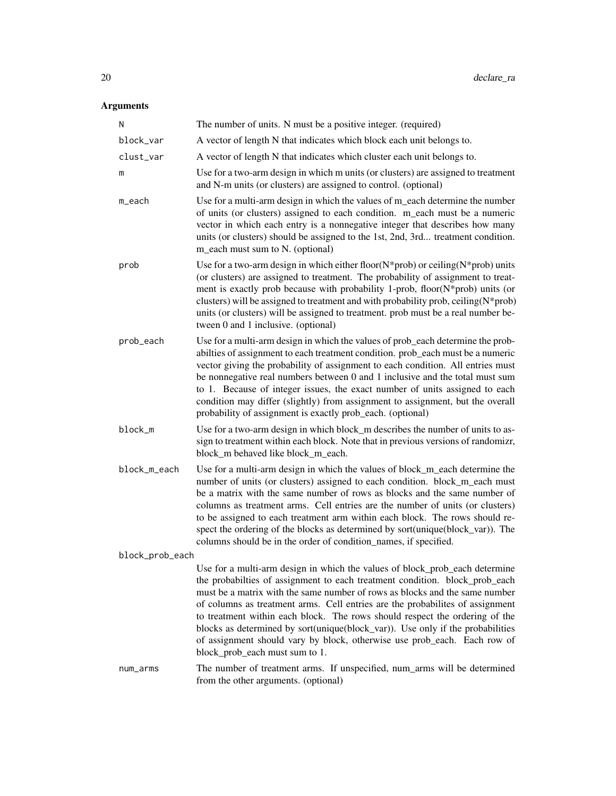| N               | The number of units. N must be a positive integer. (required)                                                                                                                                                                                                                                                                                                                                                                                                                                                                                                                                             |
|-----------------|-----------------------------------------------------------------------------------------------------------------------------------------------------------------------------------------------------------------------------------------------------------------------------------------------------------------------------------------------------------------------------------------------------------------------------------------------------------------------------------------------------------------------------------------------------------------------------------------------------------|
| block_var       | A vector of length N that indicates which block each unit belongs to.                                                                                                                                                                                                                                                                                                                                                                                                                                                                                                                                     |
| clust_var       | A vector of length N that indicates which cluster each unit belongs to.                                                                                                                                                                                                                                                                                                                                                                                                                                                                                                                                   |
| m               | Use for a two-arm design in which m units (or clusters) are assigned to treatment<br>and N-m units (or clusters) are assigned to control. (optional)                                                                                                                                                                                                                                                                                                                                                                                                                                                      |
| m_each          | Use for a multi-arm design in which the values of m_each determine the number<br>of units (or clusters) assigned to each condition. m_each must be a numeric<br>vector in which each entry is a nonnegative integer that describes how many<br>units (or clusters) should be assigned to the 1st, 2nd, 3rd treatment condition.<br>m_each must sum to N. (optional)                                                                                                                                                                                                                                       |
| prob            | Use for a two-arm design in which either floor( $N$ *prob) or ceiling( $N$ *prob) units<br>(or clusters) are assigned to treatment. The probability of assignment to treat-<br>ment is exactly prob because with probability 1-prob, floor(N*prob) units (or<br>clusters) will be assigned to treatment and with probability prob, ceiling(N*prob)<br>units (or clusters) will be assigned to treatment. prob must be a real number be-<br>tween 0 and 1 inclusive. (optional)                                                                                                                            |
| prob_each       | Use for a multi-arm design in which the values of prob_each determine the prob-<br>abilties of assignment to each treatment condition. prob_each must be a numeric<br>vector giving the probability of assignment to each condition. All entries must<br>be nonnegative real numbers between $0$ and $1$ inclusive and the total must sum<br>to 1. Because of integer issues, the exact number of units assigned to each<br>condition may differ (slightly) from assignment to assignment, but the overall<br>probability of assignment is exactly prob_each. (optional)                                  |
| block_m         | Use for a two-arm design in which block_m describes the number of units to as-<br>sign to treatment within each block. Note that in previous versions of randomizr,<br>block_m behaved like block_m_each.                                                                                                                                                                                                                                                                                                                                                                                                 |
| block_m_each    | Use for a multi-arm design in which the values of block_m_each determine the<br>number of units (or clusters) assigned to each condition. block_m_each must<br>be a matrix with the same number of rows as blocks and the same number of<br>columns as treatment arms. Cell entries are the number of units (or clusters)<br>to be assigned to each treatment arm within each block. The rows should re-<br>spect the ordering of the blocks as determined by sort(unique(block_var)). The<br>columns should be in the order of condition_names, if specified.                                            |
| block_prob_each |                                                                                                                                                                                                                                                                                                                                                                                                                                                                                                                                                                                                           |
|                 | Use for a multi-arm design in which the values of block_prob_each determine<br>the probabilties of assignment to each treatment condition. block_prob_each<br>must be a matrix with the same number of rows as blocks and the same number<br>of columns as treatment arms. Cell entries are the probabilites of assignment<br>to treatment within each block. The rows should respect the ordering of the<br>blocks as determined by sort(unique(block_var)). Use only if the probabilities<br>of assignment should vary by block, otherwise use prob_each. Each row of<br>block_prob_each must sum to 1. |
| num_arms        | The number of treatment arms. If unspecified, num_arms will be determined<br>from the other arguments. (optional)                                                                                                                                                                                                                                                                                                                                                                                                                                                                                         |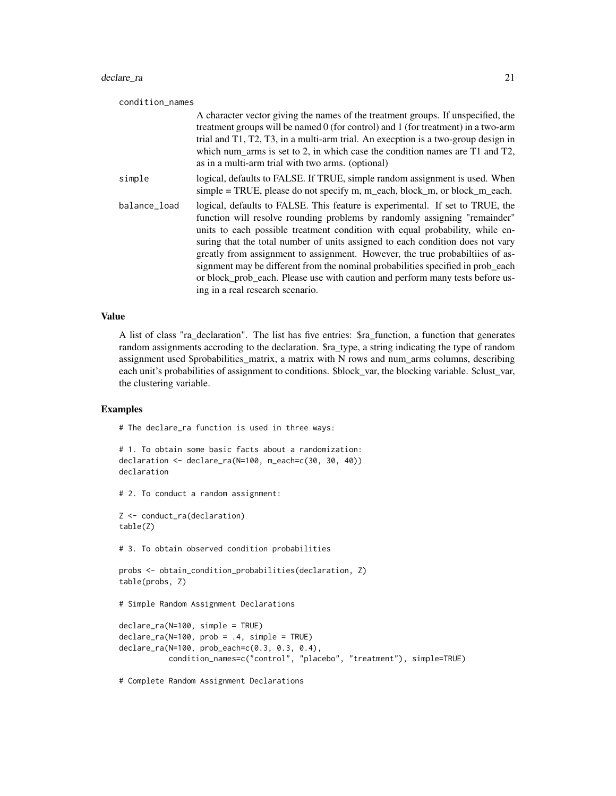#### declare\_ra 21

| condition_names |                                                                                                                                                                                                                                                                                                                                                                                                                                                                                                                                                                                                                       |  |
|-----------------|-----------------------------------------------------------------------------------------------------------------------------------------------------------------------------------------------------------------------------------------------------------------------------------------------------------------------------------------------------------------------------------------------------------------------------------------------------------------------------------------------------------------------------------------------------------------------------------------------------------------------|--|
|                 | A character vector giving the names of the treatment groups. If unspecified, the<br>treatment groups will be named 0 (for control) and 1 (for treatment) in a two-arm<br>trial and T1, T2, T3, in a multi-arm trial. An execption is a two-group design in<br>which num_arms is set to 2, in which case the condition names are T1 and T2,<br>as in a multi-arm trial with two arms. (optional)                                                                                                                                                                                                                       |  |
| simple          | logical, defaults to FALSE. If TRUE, simple random assignment is used. When<br>simple = TRUE, please do not specify m, m_each, block_m, or block_m_each.                                                                                                                                                                                                                                                                                                                                                                                                                                                              |  |
| balance_load    | logical, defaults to FALSE. This feature is experimental. If set to TRUE, the<br>function will resolve rounding problems by randomly assigning "remainder"<br>units to each possible treatment condition with equal probability, while en-<br>suring that the total number of units assigned to each condition does not vary<br>greatly from assignment to assignment. However, the true probabilities of as-<br>signment may be different from the nominal probabilities specified in prob_each<br>or block_prob_each. Please use with caution and perform many tests before us-<br>ing in a real research scenario. |  |

## Value

A list of class "ra\_declaration". The list has five entries: \$ra\_function, a function that generates random assignments accroding to the declaration. \$ra\_type, a string indicating the type of random assignment used \$probabilities\_matrix, a matrix with N rows and num\_arms columns, describing each unit's probabilities of assignment to conditions. \$block\_var, the blocking variable. \$clust\_var, the clustering variable.

## Examples

```
# The declare_ra function is used in three ways:
```

```
# 1. To obtain some basic facts about a randomization:
declaration <- declare_ra(N=100, m_each=c(30, 30, 40))
declaration
```

```
# 2. To conduct a random assignment:
```

```
Z <- conduct_ra(declaration)
table(Z)
```
# 3. To obtain observed condition probabilities

```
probs <- obtain_condition_probabilities(declaration, Z)
table(probs, Z)
```

```
# Simple Random Assignment Declarations
```

```
declare_ra(N=100, simple = TRUE)
declare_ra(N=100, prob = .4, simple = TRUE)
declare_ra(N=100, prob_each=c(0.3, 0.3, 0.4),
           condition_names=c("control", "placebo", "treatment"), simple=TRUE)
```
# Complete Random Assignment Declarations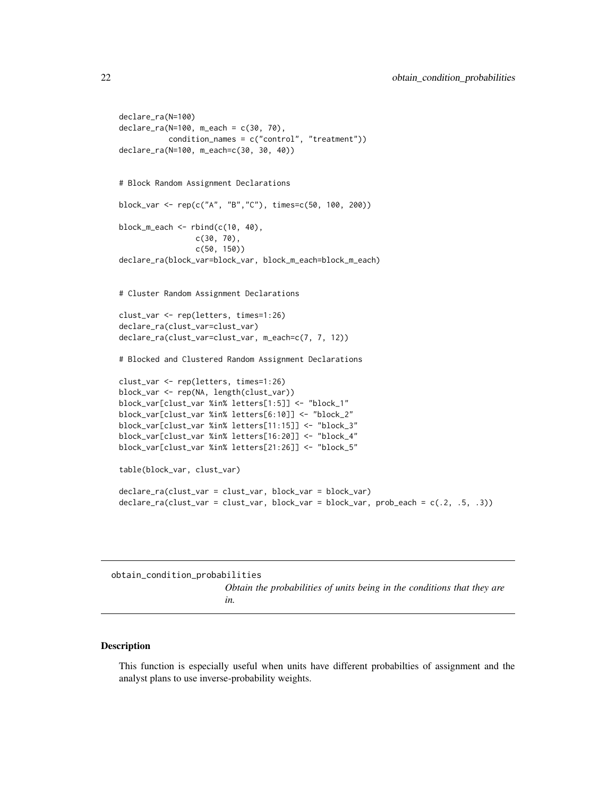```
declare_ra(N=100)
declare_ra(N=100, m_each = c(30, 70),
           condition_names = c("control", "treatment"))
declare_ra(N=100, m_each=c(30, 30, 40))
# Block Random Assignment Declarations
block_var <- rep(c("A", "B","C"), times=c(50, 100, 200))
block_m_each <- rbind(c(10, 40),
                 c(30, 70),
                 c(50, 150))
declare_ra(block_var=block_var, block_m_each=block_m_each)
# Cluster Random Assignment Declarations
clust_var <- rep(letters, times=1:26)
declare_ra(clust_var=clust_var)
declare_ra(clust_var=clust_var, m_each=c(7, 7, 12))
# Blocked and Clustered Random Assignment Declarations
clust_var <- rep(letters, times=1:26)
block_var <- rep(NA, length(clust_var))
block_var[clust_var %in% letters[1:5]] <- "block_1"
block_var[clust_var %in% letters[6:10]] <- "block_2"
block_var[clust_var %in% letters[11:15]] <- "block_3"
block_var[clust_var %in% letters[16:20]] <- "block_4"
block_var[clust_var %in% letters[21:26]] <- "block_5"
table(block_var, clust_var)
declare_ra(clust_var = clust_var, block_var = block_var)
declare_ra(clust_var = clust_var, block_var = block_var, prob_each = c(.2, .5, .3))
```

```
obtain_condition_probabilities
```
*Obtain the probabilities of units being in the conditions that they are in.*

## Description

This function is especially useful when units have different probabilties of assignment and the analyst plans to use inverse-probability weights.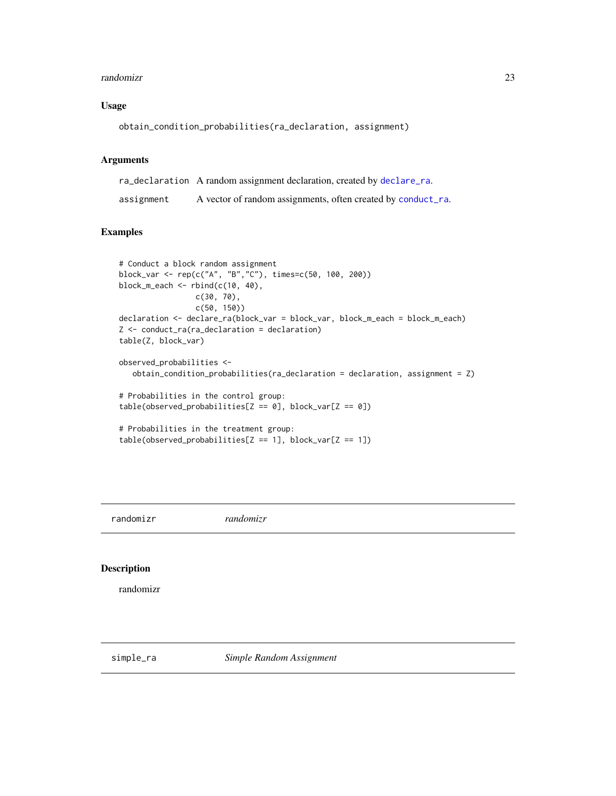#### <span id="page-22-0"></span>randomizr 23

## Usage

```
obtain_condition_probabilities(ra_declaration, assignment)
```
## Arguments

ra\_declaration A random assignment declaration, created by [declare\\_ra](#page-18-1). assignment A vector of random assignments, often created by [conduct\\_ra](#page-18-2).

## Examples

```
# Conduct a block random assignment
block_var <- rep(c("A", "B","C"), times=c(50, 100, 200))
block_m_each <- rbind(c(10, 40),c(30, 70),
                 c(50, 150))
declaration <- declare_ra(block_var = block_var, block_m_each = block_m_each)
Z <- conduct_ra(ra_declaration = declaration)
table(Z, block_var)
observed_probabilities <-
   obtain_condition_probabilities(ra_declaration = declaration, assignment = Z)
# Probabilities in the control group:
table(observed_probabilities[Z == 0], block_var[Z == 0])
# Probabilities in the treatment group:
table(observed_probability[Z == 1], block_var[Z == 1])
```
randomizr *randomizr*

#### Description

randomizr

<span id="page-22-1"></span>simple\_ra *Simple Random Assignment*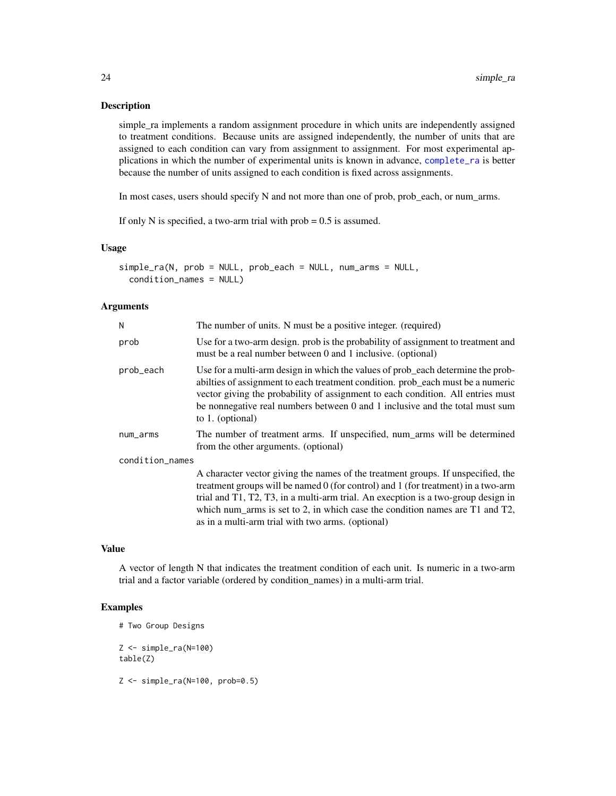## <span id="page-23-0"></span>Description

simple\_ra implements a random assignment procedure in which units are independently assigned to treatment conditions. Because units are assigned independently, the number of units that are assigned to each condition can vary from assignment to assignment. For most experimental applications in which the number of experimental units is known in advance, [complete\\_ra](#page-14-1) is better because the number of units assigned to each condition is fixed across assignments.

In most cases, users should specify N and not more than one of prob, prob\_each, or num\_arms.

If only N is specified, a two-arm trial with prob  $= 0.5$  is assumed.

#### Usage

```
simple_ra(N, prob = NULL, prob_each = NULL, num_arms = NULL,
 condition_names = NULL)
```
#### Arguments

| N               | The number of units. N must be a positive integer. (required)                                                                                                                                                                                                                                                                                                                                          |
|-----------------|--------------------------------------------------------------------------------------------------------------------------------------------------------------------------------------------------------------------------------------------------------------------------------------------------------------------------------------------------------------------------------------------------------|
| prob            | Use for a two-arm design. prob is the probability of assignment to treatment and<br>must be a real number between 0 and 1 inclusive. (optional)                                                                                                                                                                                                                                                        |
| prob_each       | Use for a multi-arm design in which the values of prob_each determine the prob-<br>abilties of assignment to each treatment condition. prob_each must be a numeric<br>vector giving the probability of assignment to each condition. All entries must<br>be nonnegative real numbers between 0 and 1 inclusive and the total must sum<br>to $1.$ (optional)                                            |
| num_arms        | The number of treatment arms. If unspecified, num_arms will be determined<br>from the other arguments. (optional)                                                                                                                                                                                                                                                                                      |
| condition_names |                                                                                                                                                                                                                                                                                                                                                                                                        |
|                 | A character vector giving the names of the treatment groups. If unspecified, the<br>treatment groups will be named $0$ (for control) and 1 (for treatment) in a two-arm<br>trial and T1, T2, T3, in a multi-arm trial. An execption is a two-group design in<br>which num arms is set to 2, in which case the condition names are $T1$ and $T2$ ,<br>as in a multi-arm trial with two arms. (optional) |

#### Value

A vector of length N that indicates the treatment condition of each unit. Is numeric in a two-arm trial and a factor variable (ordered by condition\_names) in a multi-arm trial.

```
# Two Group Designs
Z \leftarrow simple_ra(N=100)
table(Z)
Z <- simple_ra(N=100, prob=0.5)
```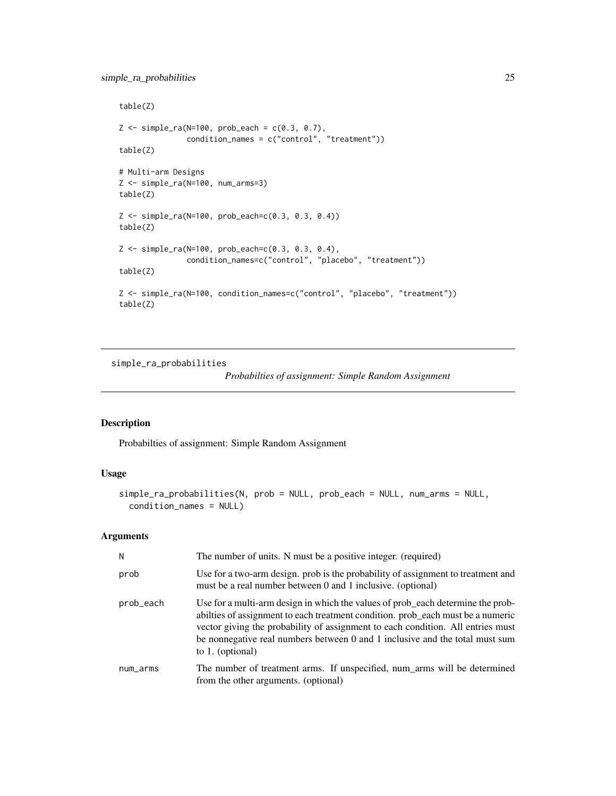## <span id="page-24-0"></span>simple\_ra\_probabilities 25

```
table(Z)
Z \le -\nsimple-ra(N=100, prob\_each = c(0.3, 0.7),condition_names = c("control", "treatment"))
table(Z)
# Multi-arm Designs
Z <- simple_ra(N=100, num_arms=3)
table(Z)
Z <- simple_ra(N=100, prob_each=c(0.3, 0.3, 0.4))
table(Z)
Z <- simple_ra(N=100, prob_each=c(0.3, 0.3, 0.4),
               condition_names=c("control", "placebo", "treatment"))
table(Z)
Z <- simple_ra(N=100, condition_names=c("control", "placebo", "treatment"))
table(Z)
```
simple\_ra\_probabilities

*Probabilties of assignment: Simple Random Assignment*

## Description

Probabilties of assignment: Simple Random Assignment

## Usage

```
simple_ra_probabilities(N, prob = NULL, prob_each = NULL, num_arms = NULL,
 condition_names = NULL)
```

| N         | The number of units. N must be a positive integer. (required)                                                                                                                                                                                                                                                                                                |
|-----------|--------------------------------------------------------------------------------------------------------------------------------------------------------------------------------------------------------------------------------------------------------------------------------------------------------------------------------------------------------------|
| prob      | Use for a two-arm design. prob is the probability of assignment to treatment and<br>must be a real number between 0 and 1 inclusive. (optional)                                                                                                                                                                                                              |
| prob_each | Use for a multi-arm design in which the values of prob_each determine the prob-<br>abilities of assignment to each treatment condition. prob_each must be a numeric<br>vector giving the probability of assignment to each condition. All entries must<br>be nonnegative real numbers between 0 and 1 inclusive and the total must sum<br>to $1.$ (optional) |
| num_arms  | The number of treatment arms. If unspecified, num_arms will be determined<br>from the other arguments. (optional)                                                                                                                                                                                                                                            |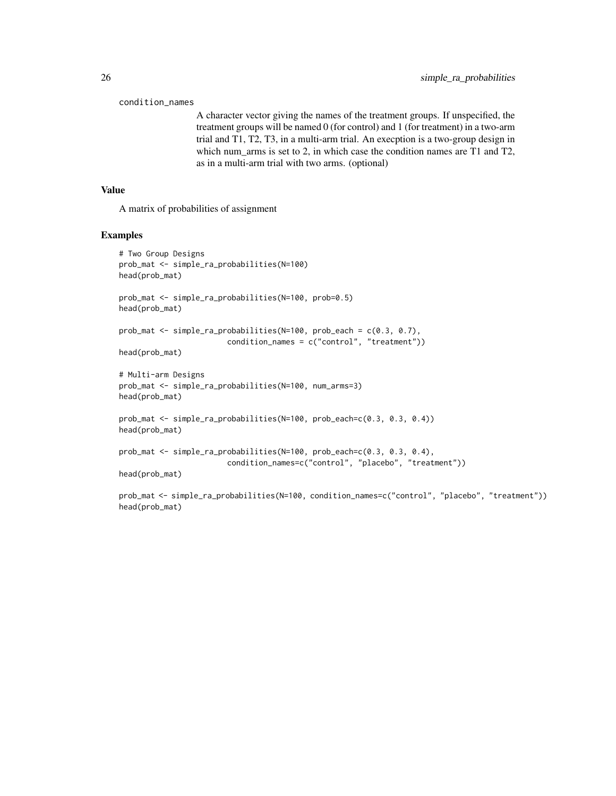```
condition_names
```
A character vector giving the names of the treatment groups. If unspecified, the treatment groups will be named 0 (for control) and 1 (for treatment) in a two-arm trial and T1, T2, T3, in a multi-arm trial. An execption is a two-group design in which num arms is set to 2, in which case the condition names are T1 and T2, as in a multi-arm trial with two arms. (optional)

## Value

A matrix of probabilities of assignment

#### Examples

```
# Two Group Designs
prob_mat <- simple_ra_probabilities(N=100)
head(prob_mat)
prob_mat <- simple_ra_probabilities(N=100, prob=0.5)
head(prob_mat)
prob_mat <- simple_ra_probabilities(N=100, prob_each = c(0.3, 0.7),
                        condition_names = c("control", "treatment"))
head(prob_mat)
# Multi-arm Designs
prob_mat <- simple_ra_probabilities(N=100, num_arms=3)
head(prob_mat)
prob_mat <- simple_ra_probabilities(N=100, prob_each=c(0.3, 0.3, 0.4))
head(prob_mat)
prob_mat <- simple_ra_probabilities(N=100, prob_each=c(0.3, 0.3, 0.4),
                        condition_names=c("control", "placebo", "treatment"))
head(prob_mat)
```
prob\_mat <- simple\_ra\_probabilities(N=100, condition\_names=c("control", "placebo", "treatment")) head(prob\_mat)